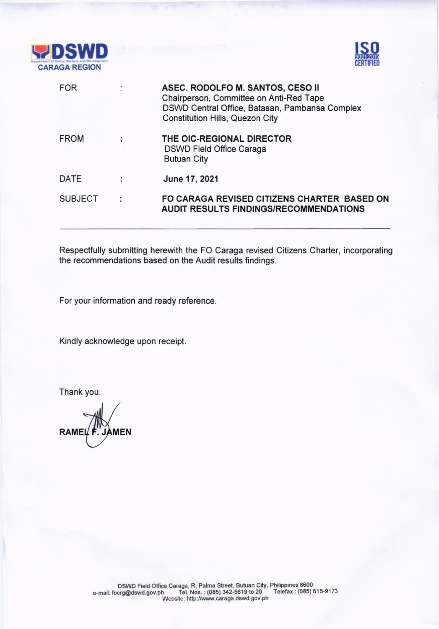



|   | ASEC. RODOLFO M. SANTOS, CESO II<br>Chairperson, Committee on Anti-Red Tape<br>DSWD Central Office, Batasan, Pambansa Complex<br><b>Constitution Hills, Quezon City</b> |
|---|-------------------------------------------------------------------------------------------------------------------------------------------------------------------------|
|   | THE OIC-REGIONAL DIRECTOR<br><b>DSWD Field Office Caraga</b><br><b>Butuan City</b>                                                                                      |
|   | June 17, 2021                                                                                                                                                           |
| ÷ | FO CARAGA REVISED CITIZENS CHARTER BASED ON<br><b>AUDIT RESULTS FINDINGS/RECOMMENDATIONS</b>                                                                            |
|   |                                                                                                                                                                         |

Respectfully submitting herewith the FO Caraga revised Citizens Charter, incorporating the recommendations based on the Audit results findings.

For your information and ready reference.

Kindly acknowledge upon receipt.

Thank you.

 $RAMEL$   $F.$  JAMEN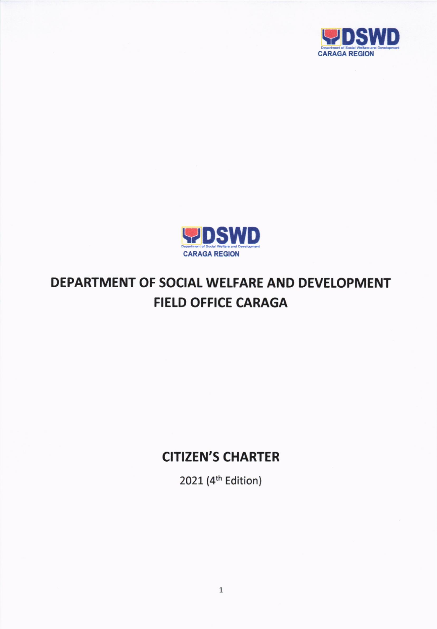



# DEPARTMENT OF SOCIAL WELFARE AND DEVELOPMENT FIELD OFFICE CARAGA

## **CITIZEN'S CHARTER**

2021 (4<sup>th</sup> Edition)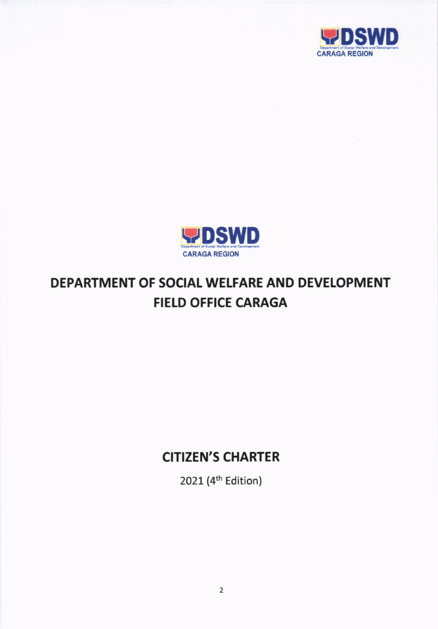



# DEPARTMENT OF SOCIAL WELFARE AND DEVELOPMENT **FIELD OFFICE CARAGA**

## **CITIZEN'S CHARTER**

2021 (4<sup>th</sup> Edition)